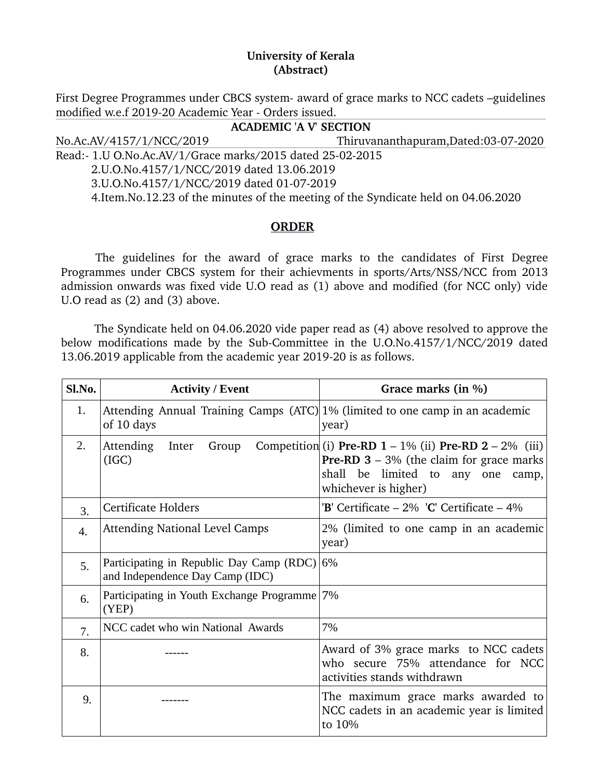## **University of Kerala (Abstract)**

First Degree Programmes under CBCS system- award of grace marks to NCC cadets –guidelines modified w.e.f 2019-20 Academic Year - Orders issued.

**ACADEMIC 'A V' SECTION** No.Ac.AV/4157/1/NCC/2019 Thiruvananthapuram,Dated:03072020 Read:- 1.U O.No.Ac.AV/1/Grace marks/2015 dated 25-02-2015 2.U.O.No.4157/1/NCC/2019 dated 13.06.2019 3.U.O.No.4157/1/NCC/2019 dated 01-07-2019 4.Item.No.12.23 of the minutes of the meeting of the Syndicate held on 04.06.2020

## **ORDER**

The guidelines for the award of grace marks to the candidates of First Degree Programmes under CBCS system for their achievments in sports/Arts/NSS/NCC from 2013 admission onwards was fixed vide U.O read as (1) above and modified (for NCC only) vide U.O read as (2) and (3) above.

 The Syndicate held on 04.06.2020 vide paper read as (4) above resolved to approve the below modifications made by the Sub-Committee in the U.O.No.4157/1/NCC/2019 dated 13.06.2019 applicable from the academic year 2019-20 is as follows.

| Sl.No. | <b>Activity / Event</b>                                                                    | Grace marks (in %)                                                                                                                                                              |
|--------|--------------------------------------------------------------------------------------------|---------------------------------------------------------------------------------------------------------------------------------------------------------------------------------|
| 1.     | Attending Annual Training Camps (ATC) 1% (limited to one camp in an academic<br>of 10 days | year)                                                                                                                                                                           |
| 2.     | Attending<br>Inter<br>Group<br>(IGC)                                                       | Competition (i) Pre-RD $1 - 1\%$ (ii) Pre-RD $2 - 2\%$ (iii)<br><b>Pre-RD 3</b> – 3% (the claim for grace marks<br>shall be limited to any one<br>camp,<br>whichever is higher) |
| 3.     | Certificate Holders                                                                        | 'B' Certificate $-2\%$ 'C' Certificate $-4\%$                                                                                                                                   |
| 4.     | <b>Attending National Level Camps</b>                                                      | 2% (limited to one camp in an academic<br>year)                                                                                                                                 |
| 5.     | Participating in Republic Day Camp (RDC)<br>and Independence Day Camp (IDC)                | 6%                                                                                                                                                                              |
| 6.     | Participating in Youth Exchange Programme 7%<br>(YEP)                                      |                                                                                                                                                                                 |
| 7.     | NCC cadet who win National Awards                                                          | 7%                                                                                                                                                                              |
| 8.     |                                                                                            | Award of 3% grace marks to NCC cadets<br>who secure 75% attendance for NCC<br>activities stands withdrawn                                                                       |
| 9.     |                                                                                            | The maximum grace marks awarded to<br>NCC cadets in an academic year is limited<br>to 10%                                                                                       |